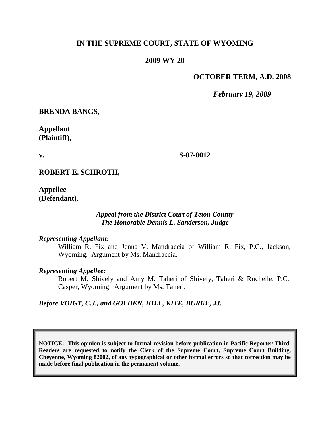# **IN THE SUPREME COURT, STATE OF WYOMING**

## **2009 WY 20**

## **OCTOBER TERM, A.D. 2008**

*February 19, 2009*

**BRENDA BANGS,**

**Appellant (Plaintiff),**

**v.**

**S-07-0012**

**ROBERT E. SCHROTH,**

**Appellee (Defendant).**

## *Appeal from the District Court of Teton County The Honorable Dennis L. Sanderson, Judge*

### *Representing Appellant:*

William R. Fix and Jenna V. Mandraccia of William R. Fix, P.C., Jackson, Wyoming. Argument by Ms. Mandraccia.

### *Representing Appellee:*

Robert M. Shively and Amy M. Taheri of Shively, Taheri & Rochelle, P.C., Casper, Wyoming. Argument by Ms. Taheri.

*Before VOIGT, C.J., and GOLDEN, HILL, KITE, BURKE, JJ.*

**NOTICE: This opinion is subject to formal revision before publication in Pacific Reporter Third. Readers are requested to notify the Clerk of the Supreme Court, Supreme Court Building, Cheyenne, Wyoming 82002, of any typographical or other formal errors so that correction may be made before final publication in the permanent volume.**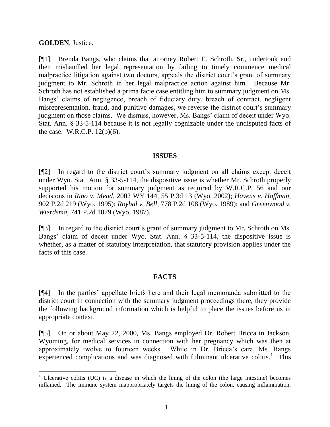## **GOLDEN**, Justice.

l

[¶1] Brenda Bangs, who claims that attorney Robert E. Schroth, Sr., undertook and then mishandled her legal representation by failing to timely commence medical malpractice litigation against two doctors, appeals the district court's grant of summary judgment to Mr. Schroth in her legal malpractice action against him. Because Mr. Schroth has not established a prima facie case entitling him to summary judgment on Ms. Bangs' claims of negligence, breach of fiduciary duty, breach of contract, negligent misrepresentation, fraud, and punitive damages, we reverse the district court's summary judgment on those claims. We dismiss, however, Ms. Bangs' claim of deceit under Wyo. Stat. Ann. § 33-5-114 because it is not legally cognizable under the undisputed facts of the case. W.R.C.P. 12(b)(6).

### **ISSUES**

[¶2] In regard to the district court's summary judgment on all claims except deceit under Wyo. Stat. Ann. § 33-5-114, the dispositive issue is whether Mr. Schroth properly supported his motion for summary judgment as required by W.R.C.P. 56 and our decisions in *Rino v. Mead*, 2002 WY 144, 55 P.3d 13 (Wyo. 2002); *Havens v. Hoffman*, 902 P.2d 219 (Wyo. 1995); *Roybal v. Bell*, 778 P.2d 108 (Wyo. 1989); and *Greenwood v. Wierdsma*, 741 P.2d 1079 (Wyo. 1987).

[¶3] In regard to the district court's grant of summary judgment to Mr. Schroth on Ms. Bangs' claim of deceit under Wyo. Stat. Ann. § 33-5-114, the dispositive issue is whether, as a matter of statutory interpretation, that statutory provision applies under the facts of this case.

# **FACTS**

[¶4] In the parties' appellate briefs here and their legal memoranda submitted to the district court in connection with the summary judgment proceedings there, they provide the following background information which is helpful to place the issues before us in appropriate context.

[¶5] On or about May 22, 2000, Ms. Bangs employed Dr. Robert Bricca in Jackson, Wyoming, for medical services in connection with her pregnancy which was then at approximately twelve to fourteen weeks. While in Dr. Bricca's care, Ms. Bangs experienced complications and was diagnosed with fulminant ulcerative colitis.<sup>1</sup> This

<sup>&</sup>lt;sup>1</sup> Ulcerative colitis (UC) is a disease in which the lining of the colon (the large intestine) becomes inflamed. The immune system inappropriately targets the lining of the colon, causing inflammation,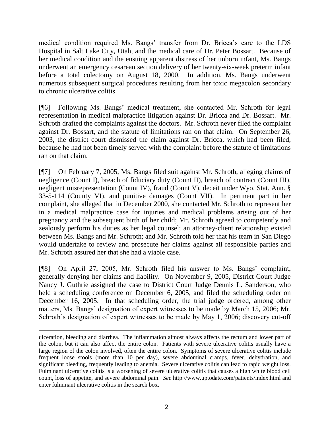medical condition required Ms. Bangs' transfer from Dr. Bricca's care to the LDS Hospital in Salt Lake City, Utah, and the medical care of Dr. Peter Bossart. Because of her medical condition and the ensuing apparent distress of her unborn infant, Ms. Bangs underwent an emergency cesarean section delivery of her twenty-six-week preterm infant before a total colectomy on August 18, 2000. In addition, Ms. Bangs underwent numerous subsequent surgical procedures resulting from her toxic megacolon secondary to chronic ulcerative colitis.

[¶6] Following Ms. Bangs' medical treatment, she contacted Mr. Schroth for legal representation in medical malpractice litigation against Dr. Bricca and Dr. Bossart. Mr. Schroth drafted the complaints against the doctors. Mr. Schroth never filed the complaint against Dr. Bossart, and the statute of limitations ran on that claim. On September 26, 2003, the district court dismissed the claim against Dr. Bricca, which had been filed, because he had not been timely served with the complaint before the statute of limitations ran on that claim.

[¶7] On February 7, 2005, Ms. Bangs filed suit against Mr. Schroth, alleging claims of negligence (Count I), breach of fiduciary duty (Count II), breach of contract (Count III), negligent misrepresentation (Count IV), fraud (Count V), deceit under Wyo. Stat. Ann. § 33-5-114 (County VI), and punitive damages (Count VII). In pertinent part in her complaint, she alleged that in December 2000, she contacted Mr. Schroth to represent her in a medical malpractice case for injuries and medical problems arising out of her pregnancy and the subsequent birth of her child; Mr. Schroth agreed to competently and zealously perform his duties as her legal counsel; an attorney-client relationship existed between Ms. Bangs and Mr. Schroth; and Mr. Schroth told her that his team in San Diego would undertake to review and prosecute her claims against all responsible parties and Mr. Schroth assured her that she had a viable case.

[¶8] On April 27, 2005, Mr. Schroth filed his answer to Ms. Bangs' complaint, generally denying her claims and liability. On November 9, 2005, District Court Judge Nancy J. Guthrie assigned the case to District Court Judge Dennis L. Sanderson, who held a scheduling conference on December 6, 2005, and filed the scheduling order on December 16, 2005. In that scheduling order, the trial judge ordered, among other matters, Ms. Bangs' designation of expert witnesses to be made by March 15, 2006; Mr. Schroth's designation of expert witnesses to be made by May 1, 2006; discovery cut-off

ulceration, bleeding and diarrhea. The inflammation almost always affects the rectum and lower part of the colon, but it can also affect the entire colon. Patients with severe ulcerative colitis usually have a large region of the colon involved, often the entire colon. Symptoms of severe ulcerative colitis include frequent loose stools (more than 10 per day), severe abdominal cramps, fever, dehydration, and significant bleeding, frequently leading to anemia. Severe ulcerative colitis can lead to rapid weight loss. Fulminant ulcerative colitis is a worsening of severe ulcerative colitis that causes a high white blood cell count, loss of appetite, and severe abdominal pain. *See* http://www.uptodate.com/patients/index.html and enter fulminant ulcerative colitis in the search box.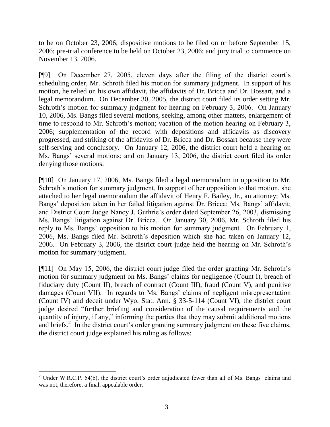to be on October 23, 2006; dispositive motions to be filed on or before September 15, 2006; pre-trial conference to be held on October 23, 2006; and jury trial to commence on November 13, 2006.

[¶9] On December 27, 2005, eleven days after the filing of the district court's scheduling order, Mr. Schroth filed his motion for summary judgment. In support of his motion, he relied on his own affidavit, the affidavits of Dr. Bricca and Dr. Bossart, and a legal memorandum. On December 30, 2005, the district court filed its order setting Mr. Schroth's motion for summary judgment for hearing on February 3, 2006. On January 10, 2006, Ms. Bangs filed several motions, seeking, among other matters, enlargement of time to respond to Mr. Schroth's motion; vacation of the motion hearing on February 3, 2006; supplementation of the record with depositions and affidavits as discovery progressed; and striking of the affidavits of Dr. Bricca and Dr. Bossart because they were self-serving and conclusory. On January 12, 2006, the district court held a hearing on Ms. Bangs' several motions; and on January 13, 2006, the district court filed its order denying those motions.

[¶10] On January 17, 2006, Ms. Bangs filed a legal memorandum in opposition to Mr. Schroth's motion for summary judgment. In support of her opposition to that motion, she attached to her legal memorandum the affidavit of Henry F. Bailey, Jr., an attorney; Ms. Bangs' deposition taken in her failed litigation against Dr. Bricca; Ms. Bangs' affidavit; and District Court Judge Nancy J. Guthrie's order dated September 26, 2003, dismissing Ms. Bangs' litigation against Dr. Bricca. On January 30, 2006, Mr. Schroth filed his reply to Ms. Bangs' opposition to his motion for summary judgment. On February 1, 2006, Ms. Bangs filed Mr. Schroth's deposition which she had taken on January 12, 2006. On February 3, 2006, the district court judge held the hearing on Mr. Schroth's motion for summary judgment.

[¶11] On May 15, 2006, the district court judge filed the order granting Mr. Schroth's motion for summary judgment on Ms. Bangs' claims for negligence (Count I), breach of fiduciary duty (Count II), breach of contract (Count III), fraud (Count V), and punitive damages (Count VII). In regards to Ms. Bangs' claims of negligent misrepresentation (Count IV) and deceit under Wyo. Stat. Ann. § 33-5-114 (Count VI), the district court judge desired "further briefing and consideration of the causal requirements and the quantity of injury, if any," informing the parties that they may submit additional motions and briefs.<sup>2</sup> In the district court's order granting summary judgment on these five claims, the district court judge explained his ruling as follows:

l

<sup>&</sup>lt;sup>2</sup> Under W.R.C.P. 54(b), the district court's order adjudicated fewer than all of Ms. Bangs' claims and was not, therefore, a final, appealable order.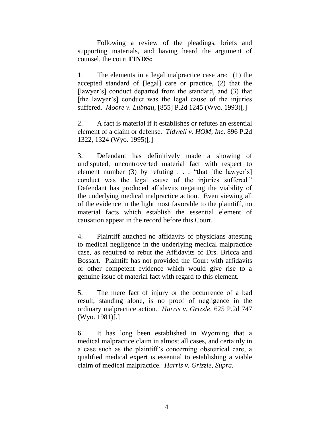Following a review of the pleadings, briefs and supporting materials, and having heard the argument of counsel, the court **FINDS:**

1. The elements in a legal malpractice case are: (1) the accepted standard of [legal] care or practice, (2) that the [lawyer's] conduct departed from the standard, and (3) that [the lawyer's] conduct was the legal cause of the injuries suffered. *Moore v. Lubnau*, [855] P.2d 1245 (Wyo. 1993)[.]

2. A fact is material if it establishes or refutes an essential element of a claim or defense. *Tidwell v. HOM, Inc.* 896 P.2d 1322, 1324 (Wyo. 1995)[.]

3. Defendant has definitively made a showing of undisputed, uncontroverted material fact with respect to element number (3) by refuting  $\ldots$  "that [the lawyer's] conduct was the legal cause of the injuries suffered." Defendant has produced affidavits negating the viability of the underlying medical malpractice action. Even viewing all of the evidence in the light most favorable to the plaintiff, no material facts which establish the essential element of causation appear in the record before this Court.

4. Plaintiff attached no affidavits of physicians attesting to medical negligence in the underlying medical malpractice case, as required to rebut the Affidavits of Drs. Bricca and Bossart. Plaintiff has not provided the Court with affidavits or other competent evidence which would give rise to a genuine issue of material fact with regard to this element.

5. The mere fact of injury or the occurrence of a bad result, standing alone, is no proof of negligence in the ordinary malpractice action. *Harris v. Grizzle,* 625 P.2d 747 (Wyo. 1981)[.]

6. It has long been established in Wyoming that a medical malpractice claim in almost all cases, and certainly in a case such as the plaintiff's concerning obstetrical care, a qualified medical expert is essential to establishing a viable claim of medical malpractice. *Harris v. Grizzle*, *Supra.*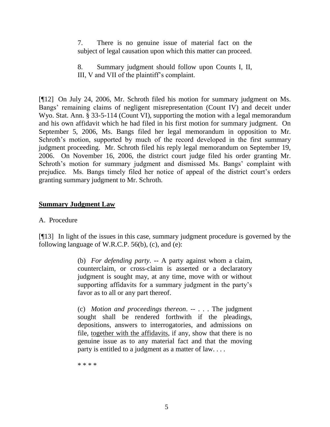7. There is no genuine issue of material fact on the subject of legal causation upon which this matter can proceed.

8. Summary judgment should follow upon Counts I, II, III, V and VII of the plaintiff's complaint.

[¶12] On July 24, 2006, Mr. Schroth filed his motion for summary judgment on Ms. Bangs' remaining claims of negligent misrepresentation (Count IV) and deceit under Wyo. Stat. Ann. § 33-5-114 (Count VI), supporting the motion with a legal memorandum and his own affidavit which he had filed in his first motion for summary judgment. On September 5, 2006, Ms. Bangs filed her legal memorandum in opposition to Mr. Schroth's motion, supported by much of the record developed in the first summary judgment proceeding. Mr. Schroth filed his reply legal memorandum on September 19, 2006. On November 16, 2006, the district court judge filed his order granting Mr. Schroth's motion for summary judgment and dismissed Ms. Bangs' complaint with prejudice. Ms. Bangs timely filed her notice of appeal of the district court's orders granting summary judgment to Mr. Schroth.

# **Summary Judgment Law**

## A. Procedure

[¶13] In light of the issues in this case, summary judgment procedure is governed by the following language of W.R.C.P. 56(b), (c), and (e):

> (b) *For defending party*. -- A party against whom a claim, counterclaim, or cross-claim is asserted or a declaratory judgment is sought may, at any time, move with or without supporting affidavits for a summary judgment in the party's favor as to all or any part thereof.

> (c) *Motion and proceedings thereon*. -- . . . The judgment sought shall be rendered forthwith if the pleadings, depositions, answers to interrogatories, and admissions on file, together with the affidavits, if any, show that there is no genuine issue as to any material fact and that the moving party is entitled to a judgment as a matter of law. . . .

\* \* \* \*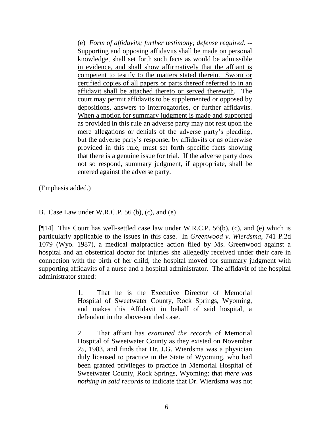(e) *Form of affidavits; further testimony; defense required.* -- Supporting and opposing affidavits shall be made on personal knowledge, shall set forth such facts as would be admissible in evidence, and shall show affirmatively that the affiant is competent to testify to the matters stated therein. Sworn or certified copies of all papers or parts thereof referred to in an affidavit shall be attached thereto or served therewith. The court may permit affidavits to be supplemented or opposed by depositions, answers to interrogatories, or further affidavits. When a motion for summary judgment is made and supported as provided in this rule an adverse party may not rest upon the mere allegations or denials of the adverse party's pleading, but the adverse party's response, by affidavits or as otherwise provided in this rule, must set forth specific facts showing that there is a genuine issue for trial. If the adverse party does not so respond, summary judgment, if appropriate, shall be entered against the adverse party.

(Emphasis added.)

B. Case Law under W.R.C.P. 56 (b), (c), and (e)

[¶14] This Court has well-settled case law under W.R.C.P. 56(b), (c), and (e) which is particularly applicable to the issues in this case. In *Greenwood v. Wierdsma*, 741 P.2d 1079 (Wyo. 1987), a medical malpractice action filed by Ms. Greenwood against a hospital and an obstetrical doctor for injuries she allegedly received under their care in connection with the birth of her child, the hospital moved for summary judgment with supporting affidavits of a nurse and a hospital administrator. The affidavit of the hospital administrator stated:

> 1. That he is the Executive Director of Memorial Hospital of Sweetwater County, Rock Springs, Wyoming, and makes this Affidavit in behalf of said hospital, a defendant in the above-entitled case.

> 2. That affiant has *examined the records* of Memorial Hospital of Sweetwater County as they existed on November 25, 1983, and finds that Dr. J.G. Wierdsma was a physician duly licensed to practice in the State of Wyoming, who had been granted privileges to practice in Memorial Hospital of Sweetwater County, Rock Springs, Wyoming; that *there was nothing in said records* to indicate that Dr. Wierdsma was not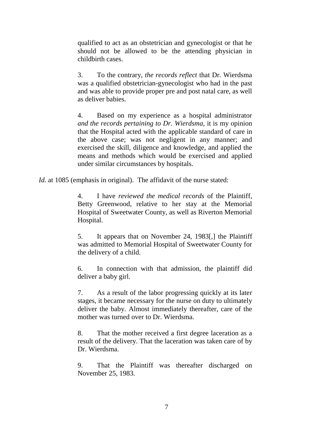qualified to act as an obstetrician and gynecologist or that he should not be allowed to be the attending physician in childbirth cases.

3. To the contrary, *the records reflect* that Dr. Wierdsma was a qualified obstetrician-gynecologist who had in the past and was able to provide proper pre and post natal care, as well as deliver babies.

4. Based on my experience as a hospital administrator *and the records pertaining to Dr. Wierdsma,* it is my opinion that the Hospital acted with the applicable standard of care in the above case; was not negligent in any manner; and exercised the skill, diligence and knowledge, and applied the means and methods which would be exercised and applied under similar circumstances by hospitals.

*Id.* at 1085 (emphasis in original). The affidavit of the nurse stated:

4. I have *reviewed the medical records* of the Plaintiff, Betty Greenwood, relative to her stay at the Memorial Hospital of Sweetwater County, as well as Riverton Memorial Hospital.

5. It appears that on November 24, 1983[,] the Plaintiff was admitted to Memorial Hospital of Sweetwater County for the delivery of a child.

6. In connection with that admission, the plaintiff did deliver a baby girl.

7. As a result of the labor progressing quickly at its later stages, it became necessary for the nurse on duty to ultimately deliver the baby. Almost immediately thereafter, care of the mother was turned over to Dr. Wierdsma.

8. That the mother received a first degree laceration as a result of the delivery. That the laceration was taken care of by Dr. Wierdsma.

9. That the Plaintiff was thereafter discharged on November 25, 1983.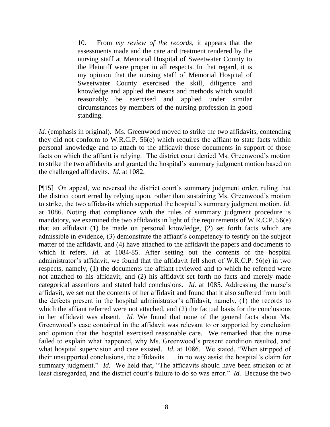10. From *my review of the records,* it appears that the assessments made and the care and treatment rendered by the nursing staff at Memorial Hospital of Sweetwater County to the Plaintiff were proper in all respects. In that regard, it is my opinion that the nursing staff of Memorial Hospital of Sweetwater County exercised the skill, diligence and knowledge and applied the means and methods which would reasonably be exercised and applied under similar circumstances by members of the nursing profession in good standing.

*Id.* (emphasis in original). Ms. Greenwood moved to strike the two affidavits, contending they did not conform to W.R.C.P. 56(e) which requires the affiant to state facts within personal knowledge and to attach to the affidavit those documents in support of those facts on which the affiant is relying. The district court denied Ms. Greenwood's motion to strike the two affidavits and granted the hospital's summary judgment motion based on the challenged affidavits. *Id.* at 1082.

[¶15] On appeal, we reversed the district court's summary judgment order, ruling that the district court erred by relying upon, rather than sustaining Ms. Greenwood's motion to strike, the two affidavits which supported the hospital's summary judgment motion. *Id.* at 1086. Noting that compliance with the rules of summary judgment procedure is mandatory, we examined the two affidavits in light of the requirements of W.R.C.P. 56(e) that an affidavit (1) be made on personal knowledge, (2) set forth facts which are admissible in evidence, (3) demonstrate the affiant's competency to testify on the subject matter of the affidavit, and (4) have attached to the affidavit the papers and documents to which it refers. *Id.* at 1084-85. After setting out the contents of the hospital administrator's affidavit, we found that the affidavit fell short of W.R.C.P. 56(e) in two respects, namely, (1) the documents the affiant reviewed and to which he referred were not attached to his affidavit, and (2) his affidavit set forth no facts and merely made categorical assertions and stated bald conclusions. *Id.* at 1085. Addressing the nurse's affidavit, we set out the contents of her affidavit and found that it also suffered from both the defects present in the hospital administrator's affidavit, namely, (1) the records to which the affiant referred were not attached, and (2) the factual basis for the conclusions in her affidavit was absent. *Id.* We found that none of the general facts about Ms. Greenwood's case contained in the affidavit was relevant to or supported by conclusion and opinion that the hospital exercised reasonable care. We remarked that the nurse failed to explain what happened, why Ms. Greenwood's present condition resulted, and what hospital supervision and care existed. *Id.* at 1086. We stated, "When stripped of their unsupported conclusions, the affidavits . . . in no way assist the hospital's claim for summary judgment." *Id.* We held that, "The affidavits should have been stricken or at least disregarded, and the district court's failure to do so was error." *Id.* Because the two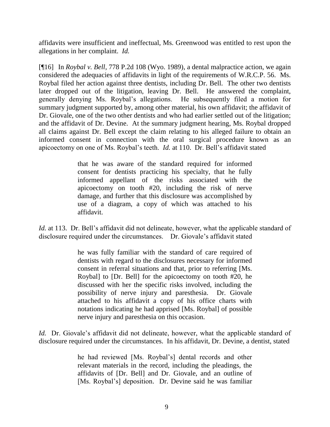affidavits were insufficient and ineffectual, Ms. Greenwood was entitled to rest upon the allegations in her complaint. *Id.*

[¶16] In *Roybal v. Bell*, 778 P.2d 108 (Wyo. 1989), a dental malpractice action, we again considered the adequacies of affidavits in light of the requirements of W.R.C.P. 56. Ms. Roybal filed her action against three dentists, including Dr. Bell. The other two dentists later dropped out of the litigation, leaving Dr. Bell. He answered the complaint, generally denying Ms. Roybal's allegations. He subsequently filed a motion for summary judgment supported by, among other material, his own affidavit; the affidavit of Dr. Giovale, one of the two other dentists and who had earlier settled out of the litigation; and the affidavit of Dr. Devine. At the summary judgment hearing, Ms. Roybal dropped all claims against Dr. Bell except the claim relating to his alleged failure to obtain an informed consent in connection with the oral surgical procedure known as an apicoectomy on one of Ms. Roybal's teeth. *Id.* at 110. Dr. Bell's affidavit stated

> that he was aware of the standard required for informed consent for dentists practicing his specialty, that he fully informed appellant of the risks associated with the apicoectomy on tooth #20, including the risk of nerve damage, and further that this disclosure was accomplished by use of a diagram, a copy of which was attached to his affidavit.

*Id.* at 113. Dr. Bell's affidavit did not delineate, however, what the applicable standard of disclosure required under the circumstances. Dr. Giovale's affidavit stated

> he was fully familiar with the standard of care required of dentists with regard to the disclosures necessary for informed consent in referral situations and that, prior to referring [Ms. Roybal] to [Dr. Bell] for the apicoectomy on tooth #20, he discussed with her the specific risks involved, including the possibility of nerve injury and paresthesia. Dr. Giovale attached to his affidavit a copy of his office charts with notations indicating he had apprised [Ms. Roybal] of possible nerve injury and paresthesia on this occasion.

*Id.* Dr. Giovale's affidavit did not delineate, however, what the applicable standard of disclosure required under the circumstances. In his affidavit, Dr. Devine, a dentist, stated

> he had reviewed [Ms. Roybal's] dental records and other relevant materials in the record, including the pleadings, the affidavits of [Dr. Bell] and Dr. Giovale, and an outline of [Ms. Roybal's] deposition. Dr. Devine said he was familiar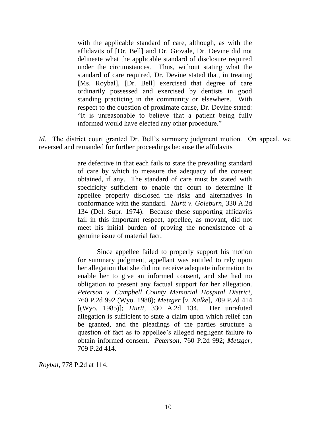with the applicable standard of care, although, as with the affidavits of [Dr. Bell] and Dr. Giovale, Dr. Devine did not delineate what the applicable standard of disclosure required under the circumstances. Thus, without stating what the standard of care required, Dr. Devine stated that, in treating [Ms. Roybal], [Dr. Bell] exercised that degree of care ordinarily possessed and exercised by dentists in good standing practicing in the community or elsewhere. With respect to the question of proximate cause, Dr. Devine stated: "It is unreasonable to believe that a patient being fully informed would have elected any other procedure."

*Id.* The district court granted Dr. Bell's summary judgment motion. On appeal, we reversed and remanded for further proceedings because the affidavits

> are defective in that each fails to state the prevailing standard of care by which to measure the adequacy of the consent obtained, if any. The standard of care must be stated with specificity sufficient to enable the court to determine if appellee properly disclosed the risks and alternatives in conformance with the standard. *Hurtt v. Goleburn*, 330 A.2d 134 (Del. Supr. 1974). Because these supporting affidavits fail in this important respect, appellee, as movant, did not meet his initial burden of proving the nonexistence of a genuine issue of material fact.

> Since appellee failed to properly support his motion for summary judgment, appellant was entitled to rely upon her allegation that she did not receive adequate information to enable her to give an informed consent, and she had no obligation to present any factual support for her allegation. *Peterson v. Campbell County Memorial Hospital District,* 760 P.2d 992 (Wyo. 1988); *Metzger* [*v. Kalke*], 709 P.2d 414 [(Wyo. 1985)]; *Hurtt*, 330 A.2d 134. Her unrefuted allegation is sufficient to state a claim upon which relief can be granted, and the pleadings of the parties structure a question of fact as to appellee's alleged negligent failure to obtain informed consent. *Peterson*, 760 P.2d 992; *Metzger,* 709 P.2d 414.

*Roybal*, 778 P.2d at 114.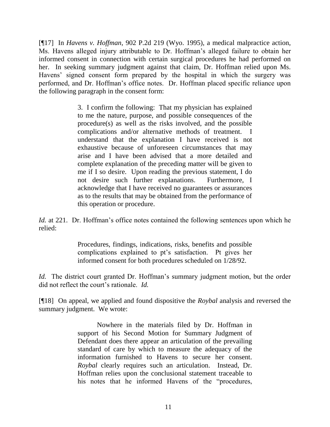[¶17] In *Havens v. Hoffman*, 902 P.2d 219 (Wyo. 1995), a medical malpractice action, Ms. Havens alleged injury attributable to Dr. Hoffman's alleged failure to obtain her informed consent in connection with certain surgical procedures he had performed on her. In seeking summary judgment against that claim, Dr. Hoffman relied upon Ms. Havens' signed consent form prepared by the hospital in which the surgery was performed, and Dr. Hoffman's office notes. Dr. Hoffman placed specific reliance upon the following paragraph in the consent form:

> 3. I confirm the following: That my physician has explained to me the nature, purpose, and possible consequences of the procedure(s) as well as the risks involved, and the possible complications and/or alternative methods of treatment. I understand that the explanation I have received is not exhaustive because of unforeseen circumstances that may arise and I have been advised that a more detailed and complete explanation of the preceding matter will be given to me if I so desire. Upon reading the previous statement, I do not desire such further explanations. Furthermore, I acknowledge that I have received no guarantees or assurances as to the results that may be obtained from the performance of this operation or procedure.

*Id.* at 221. Dr. Hoffman's office notes contained the following sentences upon which he relied:

> Procedures, findings, indications, risks, benefits and possible complications explained to pt's satisfaction. Pt gives her informed consent for both procedures scheduled on 1/28/92.

*Id.* The district court granted Dr. Hoffman's summary judgment motion, but the order did not reflect the court's rationale. *Id.*

[¶18] On appeal, we applied and found dispositive the *Roybal* analysis and reversed the summary judgment. We wrote:

> Nowhere in the materials filed by Dr. Hoffman in support of his Second Motion for Summary Judgment of Defendant does there appear an articulation of the prevailing standard of care by which to measure the adequacy of the information furnished to Havens to secure her consent. *Roybal* clearly requires such an articulation. Instead, Dr. Hoffman relies upon the conclusional statement traceable to his notes that he informed Havens of the "procedures,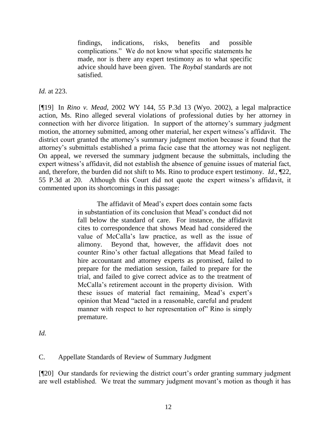findings, indications, risks, benefits and possible complications." We do not know what specific statements he made, nor is there any expert testimony as to what specific advice should have been given. The *Roybal* standards are not satisfied.

*Id.* at 223.

[¶19] In *Rino v. Mead*, 2002 WY 144, 55 P.3d 13 (Wyo. 2002), a legal malpractice action, Ms. Rino alleged several violations of professional duties by her attorney in connection with her divorce litigation. In support of the attorney's summary judgment motion, the attorney submitted, among other material, her expert witness's affidavit. The district court granted the attorney's summary judgment motion because it found that the attorney's submittals established a prima facie case that the attorney was not negligent. On appeal, we reversed the summary judgment because the submittals, including the expert witness's affidavit, did not establish the absence of genuine issues of material fact, and, therefore, the burden did not shift to Ms. Rino to produce expert testimony. *Id.*, ¶22, 55 P.3d at 20. Although this Court did not quote the expert witness's affidavit, it commented upon its shortcomings in this passage:

> The affidavit of Mead's expert does contain some facts in substantiation of its conclusion that Mead's conduct did not fall below the standard of care. For instance, the affidavit cites to correspondence that shows Mead had considered the value of McCalla's law practice, as well as the issue of alimony. Beyond that, however, the affidavit does not counter Rino's other factual allegations that Mead failed to hire accountant and attorney experts as promised, failed to prepare for the mediation session, failed to prepare for the trial, and failed to give correct advice as to the treatment of McCalla's retirement account in the property division. With these issues of material fact remaining, Mead's expert's opinion that Mead "acted in a reasonable, careful and prudent manner with respect to her representation of" Rino is simply premature.

*Id.*

C. Appellate Standards of Review of Summary Judgment

[¶20] Our standards for reviewing the district court's order granting summary judgment are well established. We treat the summary judgment movant's motion as though it has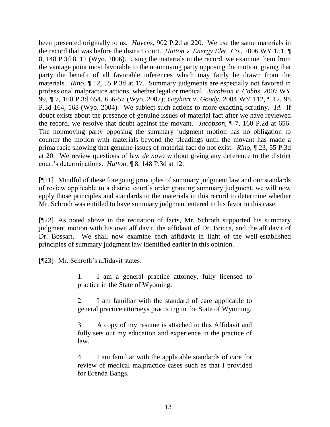been presented originally to us. *Havens*, 902 P.2d at 220. We use the same materials in the record that was before the district court. *Hatton v. Energy Elec. Co.,* 2006 WY 151, ¶ 8, 148 P.3d 8, 12 (Wyo. 2006). Using the materials in the record, we examine them from the vantage point most favorable to the nonmoving party opposing the motion, giving that party the benefit of all favorable inferences which may fairly be drawn from the materials. *Rino*, ¶ 12, 55 P.3d at 17. Summary judgments are especially not favored in professional malpractice actions, whether legal or medical. *Jacobson v. Cobbs*, 2007 WY 99, ¶ 7, 160 P.3d 654, 656-57 (Wyo. 2007); *Gayhart v. Goody*, 2004 WY 112, ¶ 12, 98 P.3d 164, 168 (Wyo. 2004). We subject such actions to more exacting scrutiny. *Id*. If doubt exists about the presence of genuine issues of material fact after we have reviewed the record, we resolve that doubt against the movant. *Jacobson*, ¶ 7, 160 P.2d at 656. The nonmoving party opposing the summary judgment motion has no obligation to counter the motion with materials beyond the pleadings until the movant has made a prima facie showing that genuine issues of material fact do not exist. *Rino*, ¶ 23, 55 P.3d at 20. We review questions of law *de novo* without giving any deference to the district court's determinations. *Hatton*, ¶ 8, 148 P.3d at 12.

[¶21] Mindful of these foregoing principles of summary judgment law and our standards of review applicable to a district court's order granting summary judgment, we will now apply those principles and standards to the materials in this record to determine whether Mr. Schroth was entitled to have summary judgment entered in his favor in this case.

[¶22] As noted above in the recitation of facts, Mr. Schroth supported his summary judgment motion with his own affidavit, the affidavit of Dr. Bricca, and the affidavit of Dr. Bossart. We shall now examine each affidavit in light of the well-established principles of summary judgment law identified earlier in this opinion.

[¶23] Mr. Schroth's affidavit states:

1. I am a general practice attorney, fully licensed to practice in the State of Wyoming.

2. I am familiar with the standard of care applicable to general practice attorneys practicing in the State of Wyoming.

3. A copy of my resume is attached to this Affidavit and fully sets out my education and experience in the practice of law.

4. I am familiar with the applicable standards of care for review of medical malpractice cases such as that I provided for Brenda Bangs.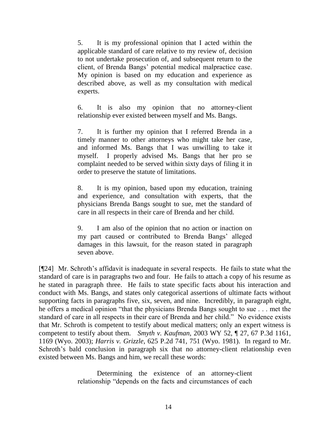5. It is my professional opinion that I acted within the applicable standard of care relative to my review of, decision to not undertake prosecution of, and subsequent return to the client, of Brenda Bangs' potential medical malpractice case. My opinion is based on my education and experience as described above, as well as my consultation with medical experts.

6. It is also my opinion that no attorney-client relationship ever existed between myself and Ms. Bangs.

7. It is further my opinion that I referred Brenda in a timely manner to other attorneys who might take her case, and informed Ms. Bangs that I was unwilling to take it myself. I properly advised Ms. Bangs that her pro se complaint needed to be served within sixty days of filing it in order to preserve the statute of limitations.

8. It is my opinion, based upon my education, training and experience, and consultation with experts, that the physicians Brenda Bangs sought to sue, met the standard of care in all respects in their care of Brenda and her child.

9. I am also of the opinion that no action or inaction on my part caused or contributed to Brenda Bangs' alleged damages in this lawsuit, for the reason stated in paragraph seven above.

[¶24] Mr. Schroth's affidavit is inadequate in several respects. He fails to state what the standard of care is in paragraphs two and four. He fails to attach a copy of his resume as he stated in paragraph three. He fails to state specific facts about his interaction and conduct with Ms. Bangs, and states only categorical assertions of ultimate facts without supporting facts in paragraphs five, six, seven, and nine. Incredibly, in paragraph eight, he offers a medical opinion "that the physicians Brenda Bangs sought to sue . . . met the standard of care in all respects in their care of Brenda and her child." No evidence exists that Mr. Schroth is competent to testify about medical matters; only an expert witness is competent to testify about them. *Smyth v. Kaufman*, 2003 WY 52, ¶ 27, 67 P.3d 1161, 1169 (Wyo. 2003); *Harris v. Grizzle*, 625 P.2d 741, 751 (Wyo. 1981). In regard to Mr. Schroth's bald conclusion in paragraph six that no attorney-client relationship even existed between Ms. Bangs and him, we recall these words:

> Determining the existence of an attorney-client relationship "depends on the facts and circumstances of each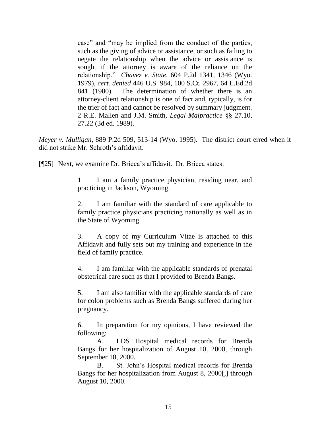case" and "may be implied from the conduct of the parties, such as the giving of advice or assistance, or such as failing to negate the relationship when the advice or assistance is sought if the attorney is aware of the reliance on the relationship." *Chavez v. State*, 604 P.2d 1341, 1346 (Wyo. 1979), *cert. denied* 446 U.S. 984, 100 S.Ct. 2967, 64 L.Ed.2d 841 (1980). The determination of whether there is an attorney-client relationship is one of fact and, typically, is for the trier of fact and cannot be resolved by summary judgment. 2 R.E. Mallen and J.M. Smith, *Legal Malpractice* §§ 27.10, 27.22 (3d ed. 1989).

*Meyer v. Mulligan*, 889 P.2d 509, 513-14 (Wyo. 1995). The district court erred when it did not strike Mr. Schroth's affidavit.

[¶25] Next, we examine Dr. Bricca's affidavit. Dr. Bricca states:

1. I am a family practice physician, residing near, and practicing in Jackson, Wyoming.

2. I am familiar with the standard of care applicable to family practice physicians practicing nationally as well as in the State of Wyoming.

3. A copy of my Curriculum Vitae is attached to this Affidavit and fully sets out my training and experience in the field of family practice.

4. I am familiar with the applicable standards of prenatal obstetrical care such as that I provided to Brenda Bangs.

5. I am also familiar with the applicable standards of care for colon problems such as Brenda Bangs suffered during her pregnancy.

6. In preparation for my opinions, I have reviewed the following:

A. LDS Hospital medical records for Brenda Bangs for her hospitalization of August 10, 2000, through September 10, 2000.

B. St. John's Hospital medical records for Brenda Bangs for her hospitalization from August 8, 2000[,] through August 10, 2000.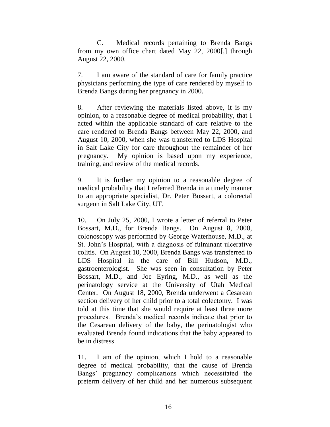C. Medical records pertaining to Brenda Bangs from my own office chart dated May 22, 2000[,] through August 22, 2000.

7. I am aware of the standard of care for family practice physicians performing the type of care rendered by myself to Brenda Bangs during her pregnancy in 2000.

8. After reviewing the materials listed above, it is my opinion, to a reasonable degree of medical probability, that I acted within the applicable standard of care relative to the care rendered to Brenda Bangs between May 22, 2000, and August 10, 2000, when she was transferred to LDS Hospital in Salt Lake City for care throughout the remainder of her pregnancy. My opinion is based upon my experience, training, and review of the medical records.

9. It is further my opinion to a reasonable degree of medical probability that I referred Brenda in a timely manner to an appropriate specialist, Dr. Peter Bossart, a colorectal surgeon in Salt Lake City, UT.

10. On July 25, 2000, I wrote a letter of referral to Peter Bossart, M.D., for Brenda Bangs. On August 8, 2000, colonoscopy was performed by George Waterhouse, M.D., at St. John's Hospital, with a diagnosis of fulminant ulcerative colitis. On August 10, 2000, Brenda Bangs was transferred to LDS Hospital in the care of Bill Hudson, M.D., gastroenterologist. She was seen in consultation by Peter Bossart, M.D., and Joe Eyring, M.D., as well as the perinatology service at the University of Utah Medical Center. On August 18, 2000, Brenda underwent a Cesarean section delivery of her child prior to a total colectomy. I was told at this time that she would require at least three more procedures. Brenda's medical records indicate that prior to the Cesarean delivery of the baby, the perinatologist who evaluated Brenda found indications that the baby appeared to be in distress.

11. I am of the opinion, which I hold to a reasonable degree of medical probability, that the cause of Brenda Bangs' pregnancy complications which necessitated the preterm delivery of her child and her numerous subsequent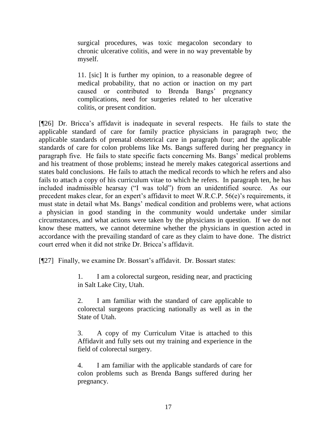surgical procedures, was toxic megacolon secondary to chronic ulcerative colitis, and were in no way preventable by myself.

11. [sic] It is further my opinion, to a reasonable degree of medical probability, that no action or inaction on my part caused or contributed to Brenda Bangs' pregnancy complications, need for surgeries related to her ulcerative colitis, or present condition.

[¶26] Dr. Bricca's affidavit is inadequate in several respects. He fails to state the applicable standard of care for family practice physicians in paragraph two; the applicable standards of prenatal obstetrical care in paragraph four; and the applicable standards of care for colon problems like Ms. Bangs suffered during her pregnancy in paragraph five. He fails to state specific facts concerning Ms. Bangs' medical problems and his treatment of those problems; instead he merely makes categorical assertions and states bald conclusions. He fails to attach the medical records to which he refers and also fails to attach a copy of his curriculum vitae to which he refers. In paragraph ten, he has included inadmissible hearsay ("I was told") from an unidentified source. As our precedent makes clear, for an expert's affidavit to meet W.R.C.P. 56(e)'s requirements, it must state in detail what Ms. Bangs' medical condition and problems were, what actions a physician in good standing in the community would undertake under similar circumstances, and what actions were taken by the physicians in question. If we do not know these matters, we cannot determine whether the physicians in question acted in accordance with the prevailing standard of care as they claim to have done. The district court erred when it did not strike Dr. Bricca's affidavit.

[¶27] Finally, we examine Dr. Bossart's affidavit. Dr. Bossart states:

1. I am a colorectal surgeon, residing near, and practicing in Salt Lake City, Utah.

2. I am familiar with the standard of care applicable to colorectal surgeons practicing nationally as well as in the State of Utah.

3. A copy of my Curriculum Vitae is attached to this Affidavit and fully sets out my training and experience in the field of colorectal surgery.

4. I am familiar with the applicable standards of care for colon problems such as Brenda Bangs suffered during her pregnancy.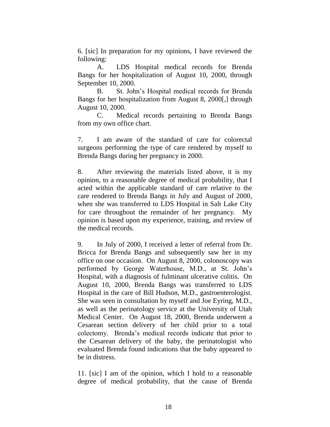6. [sic] In preparation for my opinions, I have reviewed the following:

A. LDS Hospital medical records for Brenda Bangs for her hospitalization of August 10, 2000, through September 10, 2000.

B. St. John's Hospital medical records for Brenda Bangs for her hospitalization from August 8, 2000[,] through August 10, 2000.

C. Medical records pertaining to Brenda Bangs from my own office chart.

7. I am aware of the standard of care for colorectal surgeons performing the type of care rendered by myself to Brenda Bangs during her pregnancy in 2000.

8. After reviewing the materials listed above, it is my opinion, to a reasonable degree of medical probability, that I acted within the applicable standard of care relative to the care rendered to Brenda Bangs in July and August of 2000, when she was transferred to LDS Hospital in Salt Lake City for care throughout the remainder of her pregnancy. My opinion is based upon my experience, training, and review of the medical records.

9. In July of 2000, I received a letter of referral from Dr. Bricca for Brenda Bangs and subsequently saw her in my office on one occasion. On August 8, 2000, colonoscopy was performed by George Waterhouse, M.D., at St. John's Hospital, with a diagnosis of fulminant ulcerative colitis. On August 10, 2000, Brenda Bangs was transferred to LDS Hospital in the care of Bill Hudson, M.D., gastroenterologist. She was seen in consultation by myself and Joe Eyring, M.D., as well as the perinatology service at the University of Utah Medical Center. On August 18, 2000, Brenda underwent a Cesarean section delivery of her child prior to a total colectomy. Brenda's medical records indicate that prior to the Cesarean delivery of the baby, the perinatologist who evaluated Brenda found indications that the baby appeared to be in distress.

11. [sic] I am of the opinion, which I hold to a reasonable degree of medical probability, that the cause of Brenda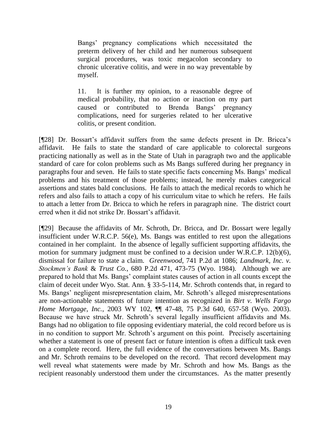Bangs' pregnancy complications which necessitated the preterm delivery of her child and her numerous subsequent surgical procedures, was toxic megacolon secondary to chronic ulcerative colitis, and were in no way preventable by myself.

11. It is further my opinion, to a reasonable degree of medical probability, that no action or inaction on my part caused or contributed to Brenda Bangs' pregnancy complications, need for surgeries related to her ulcerative colitis, or present condition.

[¶28] Dr. Bossart's affidavit suffers from the same defects present in Dr. Bricca's affidavit. He fails to state the standard of care applicable to colorectal surgeons practicing nationally as well as in the State of Utah in paragraph two and the applicable standard of care for colon problems such as Ms Bangs suffered during her pregnancy in paragraphs four and seven. He fails to state specific facts concerning Ms. Bangs' medical problems and his treatment of those problems; instead, he merely makes categorical assertions and states bald conclusions. He fails to attach the medical records to which he refers and also fails to attach a copy of his curriculum vitae to which he refers. He fails to attach a letter from Dr. Bricca to which he refers in paragraph nine. The district court erred when it did not strike Dr. Bossart's affidavit.

[¶29] Because the affidavits of Mr. Schroth, Dr. Bricca, and Dr. Bossart were legally insufficient under W.R.C.P. 56(e), Ms. Bangs was entitled to rest upon the allegations contained in her complaint. In the absence of legally sufficient supporting affidavits, the motion for summary judgment must be confined to a decision under W.R.C.P. 12(b)(6), dismissal for failure to state a claim. *Greenwood*, 741 P.2d at 1086; *Landmark, Inc. v. Stockmen's Bank* & *Trust Co.*, 680 P.2d 471, 473-75 (Wyo. 1984). Although we are prepared to hold that Ms. Bangs' complaint states causes of action in all counts except the claim of deceit under Wyo. Stat. Ann. § 33-5-114, Mr. Schroth contends that, in regard to Ms. Bangs' negligent misrepresentation claim, Mr. Schroth's alleged misrepresentations are non-actionable statements of future intention as recognized in *Birt v. Wells Fargo Home Mortgage, Inc.*, 2003 WY 102, ¶¶ 47-48, 75 P.3d 640, 657-58 (Wyo. 2003). Because we have struck Mr. Schroth's several legally insufficient affidavits and Ms. Bangs had no obligation to file opposing evidentiary material, the cold record before us is in no condition to support Mr. Schroth's argument on this point. Precisely ascertaining whether a statement is one of present fact or future intention is often a difficult task even on a complete record. Here, the full evidence of the conversations between Ms. Bangs and Mr. Schroth remains to be developed on the record. That record development may well reveal what statements were made by Mr. Schroth and how Ms. Bangs as the recipient reasonably understood them under the circumstances. As the matter presently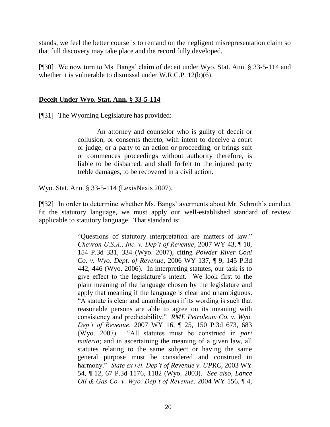stands, we feel the better course is to remand on the negligent misrepresentation claim so that full discovery may take place and the record fully developed.

[¶30] We now turn to Ms. Bangs' claim of deceit under Wyo. Stat. Ann. § 33-5-114 and whether it is vulnerable to dismissal under W.R.C.P. 12(b)(6).

## **Deceit Under Wyo. Stat. Ann. § 33-5-114**

[¶31] The Wyoming Legislature has provided:

An attorney and counselor who is guilty of deceit or collusion, or consents thereto, with intent to deceive a court or judge, or a party to an action or proceeding, or brings suit or commences proceedings without authority therefore, is liable to be disbarred, and shall forfeit to the injured party treble damages, to be recovered in a civil action.

Wyo. Stat. Ann. § 33-5-114 (LexisNexis 2007).

[¶32] In order to determine whether Ms. Bangs' averments about Mr. Schroth's conduct fit the statutory language, we must apply our well-established standard of review applicable to statutory language. That standard is:

> "Questions of statutory interpretation are matters of law." *Chevron U.S.A., Inc. v. Dep't of Revenue*, 2007 WY 43, ¶ 10, 154 P.3d 331, 334 (Wyo. 2007), citing *Powder River Coal Co. v. Wyo. Dept. of Revenue*, 2006 WY 137, ¶ 9, 145 P.3d 442, 446 (Wyo. 2006). In interpreting statutes, our task is to give effect to the legislature's intent. We look first to the plain meaning of the language chosen by the legislature and apply that meaning if the language is clear and unambiguous. "A statute is clear and unambiguous if its wording is such that reasonable persons are able to agree on its meaning with consistency and predictability." *RME Petroleum Co. v. Wyo. Dep't of Revenue*, 2007 WY 16, ¶ 25, 150 P.3d 673, 683 (Wyo. 2007). "All statutes must be construed in *pari materia*; and in ascertaining the meaning of a given law, all statutes relating to the same subject or having the same general purpose must be considered and construed in harmony." *State ex rel. Dep't of Revenue v. UPRC*, 2003 WY 54, ¶ 12, 67 P.3d 1176, 1182 (Wyo. 2003). *See also, Lance Oil & Gas Co. v. Wyo. Dep't of Revenue,* 2004 WY 156, ¶ 4,